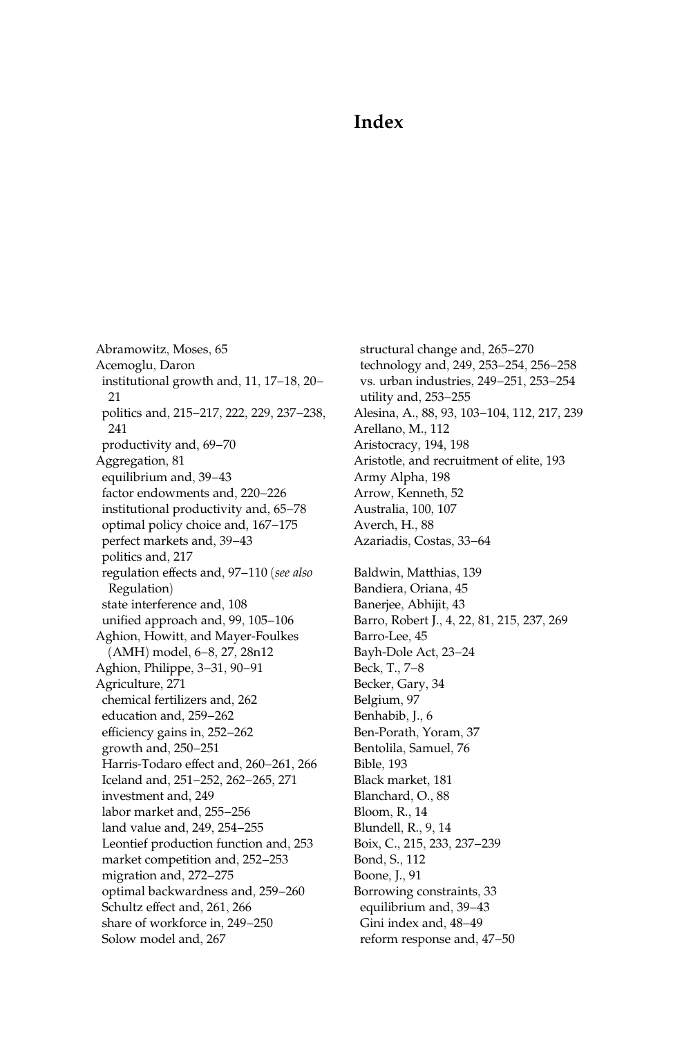## Index

Abramowitz, Moses, 65 Acemoglu, Daron institutional growth and, 11, 17–18, 20– 21 politics and, 215–217, 222, 229, 237–238, 241 productivity and, 69–70 Aggregation, 81 equilibrium and, 39–43 factor endowments and, 220–226 institutional productivity and, 65–78 optimal policy choice and, 167–175 perfect markets and, 39–43 politics and, 217 regulation effects and, 97–110 (see also Regulation) state interference and, 108 unified approach and, 99, 105–106 Aghion, Howitt, and Mayer-Foulkes (AMH) model, 6–8, 27, 28n12 Aghion, Philippe, 3–31, 90–91 Agriculture, 271 chemical fertilizers and, 262 education and, 259–262 efficiency gains in, 252–262 growth and, 250–251 Harris-Todaro effect and, 260–261, 266 Iceland and, 251–252, 262–265, 271 investment and, 249 labor market and, 255–256 land value and, 249, 254–255 Leontief production function and, 253 market competition and, 252–253 migration and, 272–275 optimal backwardness and, 259–260 Schultz effect and, 261, 266 share of workforce in, 249–250 Solow model and, 267

structural change and, 265–270 technology and, 249, 253–254, 256–258 vs. urban industries, 249–251, 253–254 utility and, 253–255 [Alesina, A., 88, 93, 103–104, 112, 217, 239](#page--1-0) Arellano, M., 112 Aristocracy, 194, 198 Aristotle, and recruitment of elite, 193 Army Alpha, 198 Arrow, Kenneth, 52 Australia, 100, 107 Averch, H., 88 Azariadis, Costas, 33–64 Baldwin, Matthias, 139 Bandiera, Oriana, 45 Banerjee, Abhijit, 43 Barro, Robert J., 4, 22, 81, 215, 237, 269 Barro-Lee, 45 Bayh-Dole Act, 23–24 Beck, T., 7–8 Becker, Gary, 34 Belgium, 97 Benhabib, J., 6 Ben-Porath, Yoram, 37 Bentolila, Samuel, 76 Bible, 193 Black market, 181 Blanchard, O., 88 Bloom, R., 14 Blundell, R., 9, 14 Boix, C., 215, 233, 237–239 Bond, S., 112 Boone, J., 91 Borrowing constraints, 33 equilibrium and, 39–43 Gini index and, 48–49 reform response and, 47–50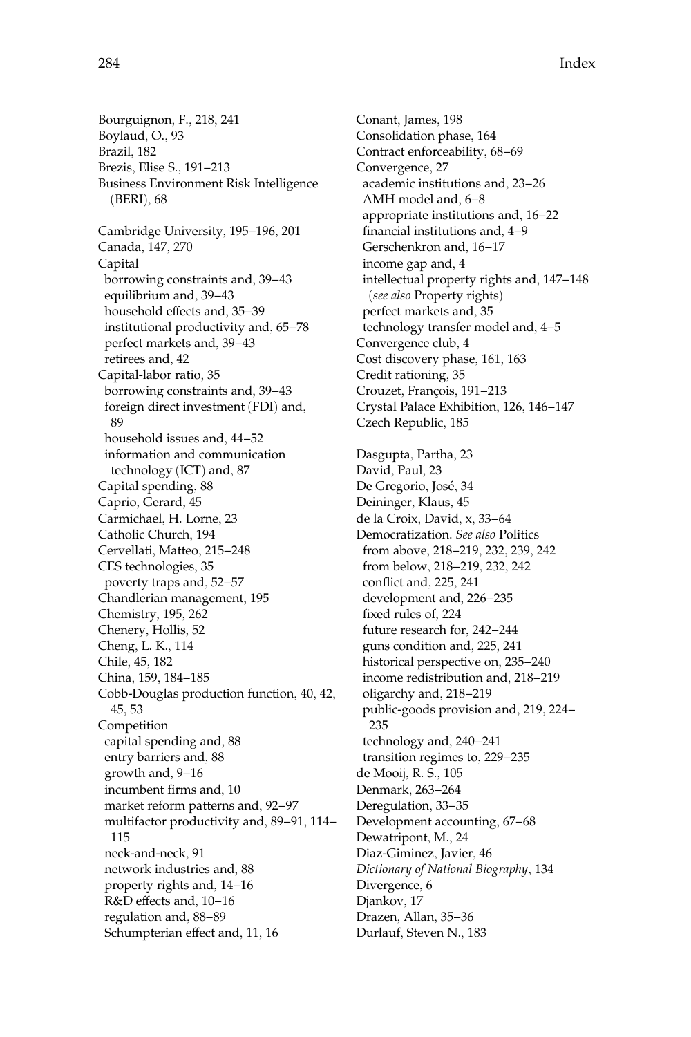Bourguignon, F., 218, 241 Boylaud, O., 93 Brazil, 182 Brezis, Elise S., 191–213 Business Environment Risk Intelligence (BERI), 68 Cambridge University, 195–196, 201 Canada, 147, 270 Capital borrowing constraints and, 39–43 equilibrium and, 39–43 household effects and, 35–39 institutional productivity and, 65–78 perfect markets and, 39–43 retirees and, 42 Capital-labor ratio, 35 borrowing constraints and, 39–43 foreign direct investment (FDI) and, 89 household issues and, 44–52 information and communication technology (ICT) and, 87 Capital spending, 88 Caprio, Gerard, 45 Carmichael, H. Lorne, 23 Catholic Church, 194 Cervellati, Matteo, 215–248 CES technologies, 35 poverty traps and, 52–57 Chandlerian management, 195 Chemistry, 195, 262 Chenery, Hollis, 52 Cheng, L. K., 114 Chile, 45, 182 China, 159, 184–185 Cobb-Douglas production function, 40, 42, 45, 53 Competition capital spending and, 88 entry barriers and, 88 growth and, 9–16 incumbent firms and, 10 market reform patterns and, 92–97 multifactor productivity and, 89–91, 114– 115 neck-and-neck, 91 network industries and, 88 property rights and, 14–16 R&D effects and, 10–16 regulation and, 88–89 Schumpterian effect and, 11, 16

Conant, James, 198 Consolidation phase, 164 Contract enforceability, 68–69 Convergence, 27 academic institutions and, 23–26 AMH model and, 6–8 appropriate institutions and, 16–22 financial institutions and, 4–9 Gerschenkron and, 16–17 income gap and, 4 intellectual property rights and, 147–148 (see also Property rights) perfect markets and, 35 technology transfer model and, 4–5 Convergence club, 4 Cost discovery phase, 161, 163 Credit rationing, 35 Crouzet, François, 191-213 Crystal Palace Exhibition, 126, 146–147 Czech Republic, 185 Dasgupta, Partha, 23 David, Paul, 23 De Gregorio, José, 34 Deininger, Klaus, 45 de la Croix, David, x, 33–64 Democratization. See also Politics from above, 218–219, 232, 239, 242 from below, 218–219, 232, 242 conflict and, 225, 241 development and, 226–235 fixed rules of, 224 future research for, 242–244 guns condition and, 225, 241 historical perspective on, 235–240 income redistribution and, 218–219 oligarchy and, 218–219 public-goods provision and, 219, 224– 235 technology and, 240–241 transition regimes to, 229–235 de Mooij, R. S., 105 Denmark, 263–264 Deregulation, 33–35 Development accounting, 67–68 Dewatripont, M., 24 Diaz-Giminez, Javier, 46 Dictionary of National Biography, 134 Divergence, 6 Djankov, 17 Drazen, Allan, 35–36 Durlauf, Steven N., 183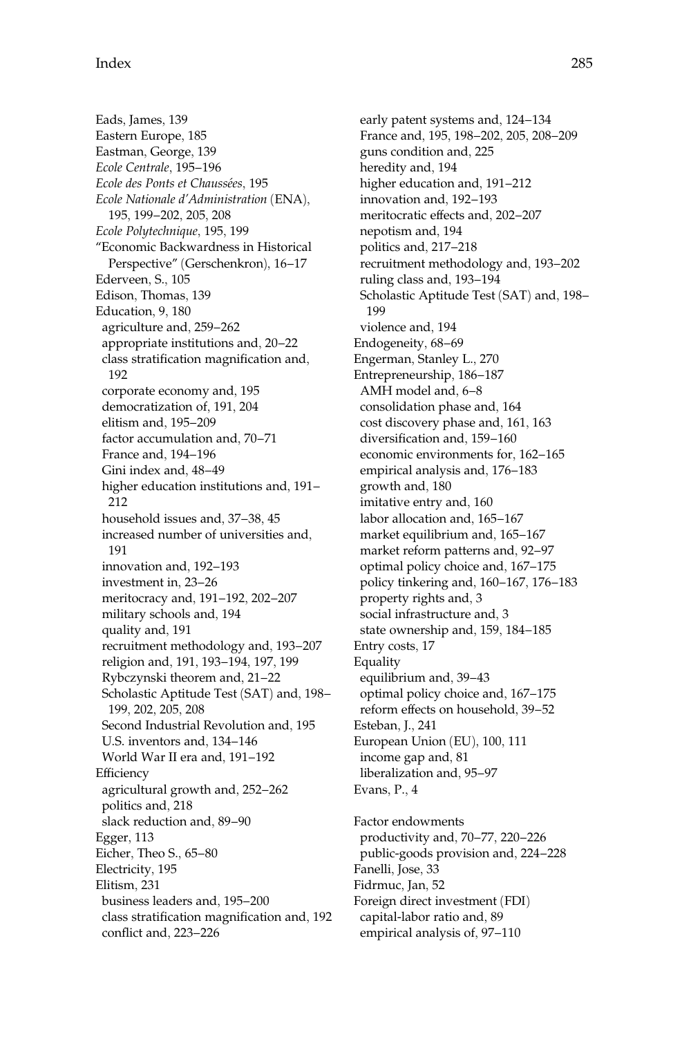Eads, James, 139 Eastern Europe, 185 Eastman, George, 139 Ecole Centrale, 195–196 Ecole des Ponts et Chaussées, 195 Ecole Nationale d'Administration (ENA), 195, 199–202, 205, 208 Ecole Polytechnique, 195, 199 ''Economic Backwardness in Historical Perspective'' (Gerschenkron), 16–17 Ederveen, S., 105 Edison, Thomas, 139 Education, 9, 180 agriculture and, 259–262 appropriate institutions and, 20–22 class stratification magnification and, 192 corporate economy and, 195 democratization of, 191, 204 elitism and, 195–209 factor accumulation and, 70–71 France and, 194–196 Gini index and, 48–49 higher education institutions and, 191– 212 household issues and, 37–38, 45 increased number of universities and, 191 innovation and, 192–193 investment in, 23–26 meritocracy and, 191–192, 202–207 military schools and, 194 quality and, 191 recruitment methodology and, 193–207 religion and, 191, 193–194, 197, 199 Rybczynski theorem and, 21–22 Scholastic Aptitude Test (SAT) and, 198– 199, 202, 205, 208 Second Industrial Revolution and, 195 U.S. inventors and, 134–146 World War II era and, 191–192 **Efficiency** agricultural growth and, 252–262 politics and, 218 slack reduction and, 89–90 Egger, 113 Eicher, Theo S., 65–80 Electricity, 195 Elitism, 231 business leaders and, 195–200 class stratification magnification and, 192 conflict and, 223–226

early patent systems and, 124–134 France and, 195, 198–202, 205, 208–209 guns condition and, 225 heredity and, 194 higher education and, 191–212 innovation and, 192–193 meritocratic effects and, 202–207 nepotism and, 194 politics and, 217–218 recruitment methodology and, 193–202 ruling class and, 193–194 Scholastic Aptitude Test (SAT) and, 198– 199 violence and, 194 Endogeneity, 68–69 Engerman, Stanley L., 270 Entrepreneurship, 186–187 AMH model and, 6–8 consolidation phase and, 164 cost discovery phase and, 161, 163 diversification and, 159–160 economic environments for, 162–165 empirical analysis and, 176–183 growth and, 180 imitative entry and, 160 labor allocation and, 165–167 market equilibrium and, 165–167 market reform patterns and, 92–97 optimal policy choice and, 167–175 policy tinkering and, 160–167, 176–183 property rights and, 3 social infrastructure and, 3 state ownership and, 159, 184–185 Entry costs, 17 Equality equilibrium and, 39–43 optimal policy choice and, 167–175 reform effects on household, 39–52 Esteban, J., 241 European Union (EU), 100, 111 income gap and, 81 liberalization and, 95–97 Evans, P., 4 Factor endowments productivity and, 70–77, 220–226

public-goods provision and, 224–228 Fanelli, Jose, 33 Fidrmuc, Jan, 52 Foreign direct investment (FDI) capital-labor ratio and, 89 empirical analysis of, 97–110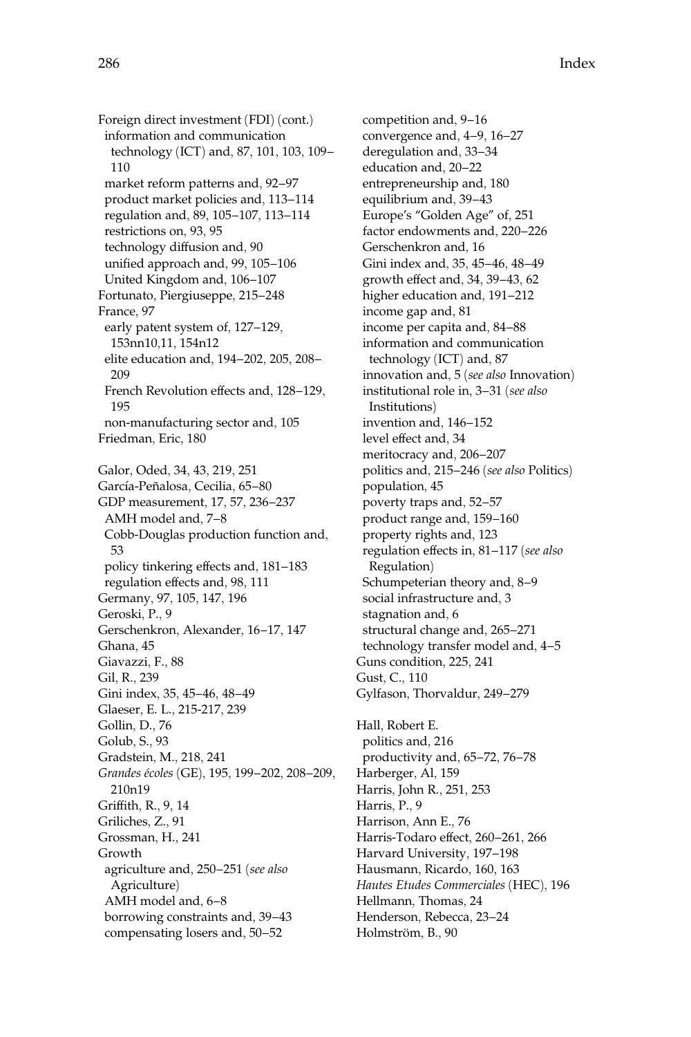Foreign direct investment (FDI) (cont.) information and communication technology (ICT) and, 87, 101, 103, 109– 110 market reform patterns and, 92–97 product market policies and, 113–114 regulation and, 89, 105–107, 113–114 restrictions on, 93, 95 technology diffusion and, 90 unified approach and, 99, 105–106 United Kingdom and, 106–107 Fortunato, Piergiuseppe, 215–248 France, 97 early patent system of, 127–129, 153nn10,11, 154n12 elite education and, 194–202, 205, 208– 209 French Revolution effects and, 128–129, 195 non-manufacturing sector and, 105 Friedman, Eric, 180 Galor, Oded, 34, 43, 219, 251 García-Peñalosa, Cecilia, 65-80 GDP measurement, 17, 57, 236–237 AMH model and, 7–8 Cobb-Douglas production function and, 53 policy tinkering effects and, 181–183 regulation effects and, 98, 111 Germany, 97, 105, 147, 196 Geroski, P., 9 Gerschenkron, Alexander, 16–17, 147 Ghana, 45 Giavazzi, F., 88 Gil, R., 239 Gini index, 35, 45–46, 48–49 Glaeser, E. L., 215-217, 239 Gollin, D., 76 Golub, S., 93 Gradstein, M., 218, 241 Grandes écoles (GE), 195, 199-202, 208-209, 210n19 Griffith, R., 9, 14 Griliches, Z., 91 Grossman, H., 241 Growth agriculture and, 250–251 (see also Agriculture) AMH model and, 6–8 borrowing constraints and, 39–43 compensating losers and, 50–52

competition and, 9–16 convergence and, 4–9, 16–27 deregulation and, 33–34 education and, 20–22 entrepreneurship and, 180 equilibrium and, 39–43 Europe's ''Golden Age'' of, 251 factor endowments and, 220–226 Gerschenkron and, 16 Gini index and, 35, 45–46, 48–49 growth effect and, 34, 39–43, 62 higher education and, 191–212 income gap and, 81 income per capita and, 84–88 information and communication technology (ICT) and, 87 innovation and, 5 (see also Innovation) institutional role in, 3–31 (see also Institutions) invention and, 146–152 level effect and, 34 meritocracy and, 206–207 politics and, 215–246 (see also Politics) population, 45 poverty traps and, 52–57 product range and, 159–160 property rights and, 123 regulation effects in, 81–117 (see also Regulation) Schumpeterian theory and, 8–9 social infrastructure and, 3 stagnation and, 6 structural change and, 265–271 technology transfer model and, 4–5 Guns condition, 225, 241 Gust, C., 110 Gylfason, Thorvaldur, 249–279 Hall, Robert E. politics and, 216 productivity and, 65–72, 76–78 Harberger, Al, 159 Harris, John R., 251, 253

Harris, P., 9 Harrison, Ann E., 76 Harris-Todaro effect, 260–261, 266 Harvard University, 197–198 Hausmann, Ricardo, 160, 163 Hautes Etudes Commerciales (HEC), 196 Hellmann, Thomas, 24 Henderson, Rebecca, 23–24 Holmström, B., 90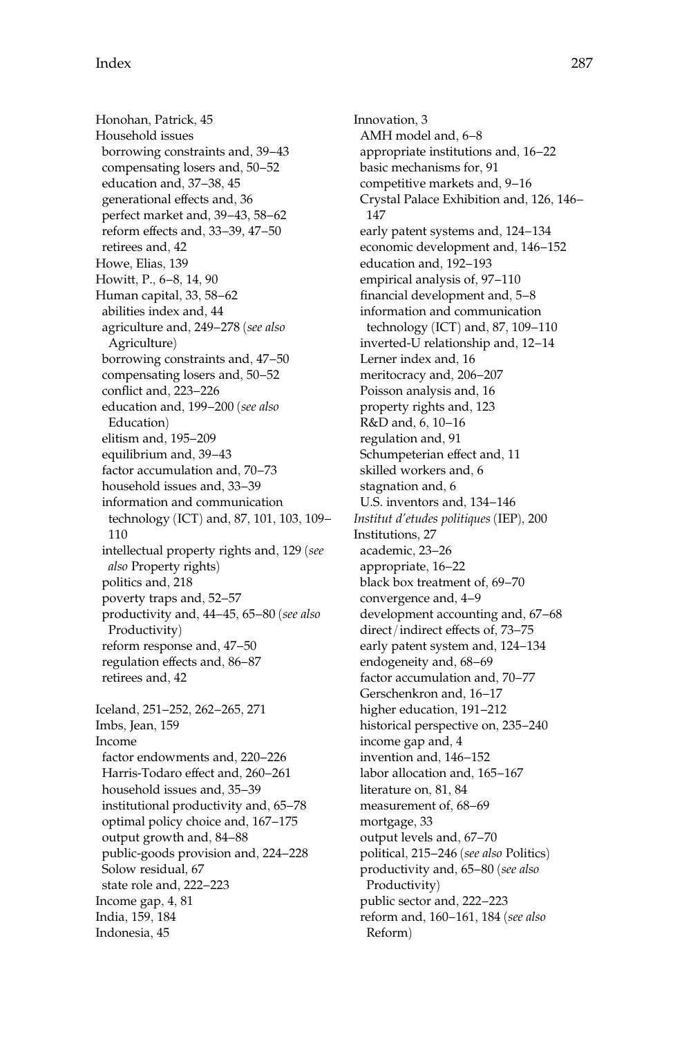Honohan, Patrick, 45 Household issues borrowing constraints and, 39–43 compensating losers and, 50–52 education and, 37–38, 45 generational effects and, 36 perfect market and, 39–43, 58–62 reform effects and, 33–39, 47–50 retirees and, 42 Howe, Elias, 139 Howitt, P., 6–8, 14, 90 Human capital, 33, 58–62 abilities index and, 44 agriculture and, 249–278 (see also Agriculture) borrowing constraints and, 47–50 compensating losers and, 50–52 conflict and, 223–226 education and, 199–200 (see also Education) elitism and, 195–209 equilibrium and, 39–43 factor accumulation and, 70–73 household issues and, 33–39 information and communication technology (ICT) and, 87, 101, 103, 109– 110 intellectual property rights and, 129 (see also Property rights) politics and, 218 poverty traps and, 52–57 productivity and, 44–45, 65–80 (see also Productivity) reform response and, 47–50 regulation effects and, 86–87 retirees and, 42 Iceland, 251–252, 262–265, 271 Imbs, Jean, 159 Income factor endowments and, 220–226 Harris-Todaro effect and, 260–261 household issues and, 35–39 institutional productivity and, 65–78 optimal policy choice and, 167–175 output growth and, 84–88 public-goods provision and, 224–228 Solow residual, 67 state role and, 222–223 Income gap, 4, 81 India, 159, 184 Indonesia, 45

Innovation, 3 AMH model and, 6–8 appropriate institutions and, 16–22 basic mechanisms for, 91 competitive markets and, 9–16 Crystal Palace Exhibition and, 126, 146– 147 early patent systems and, 124–134 economic development and, 146–152 education and, 192–193 empirical analysis of, 97–110 financial development and, 5–8 information and communication technology (ICT) and, 87, 109–110 inverted-U relationship and, 12–14 Lerner index and, 16 meritocracy and, 206–207 Poisson analysis and, 16 property rights and, 123 R&D and, 6, 10–16 regulation and, 91 Schumpeterian effect and, 11 skilled workers and, 6 stagnation and, 6 U.S. inventors and, 134–146 Institut d'etudes politiques (IEP), 200 Institutions, 27 academic, 23–26 appropriate, 16–22 black box treatment of, 69–70 convergence and, 4–9 development accounting and, 67–68 direct/indirect effects of, 73–75 early patent system and, 124–134 endogeneity and, 68–69 factor accumulation and, 70–77 Gerschenkron and, 16–17 higher education, 191–212 historical perspective on, 235–240 income gap and, 4 invention and, 146–152 labor allocation and, 165–167 literature on, 81, 84 measurement of, 68–69 mortgage, 33 output levels and, 67–70 political, 215–246 (see also Politics) productivity and, 65–80 (see also Productivity) public sector and, 222–223 reform and, 160–161, 184 (see also Reform)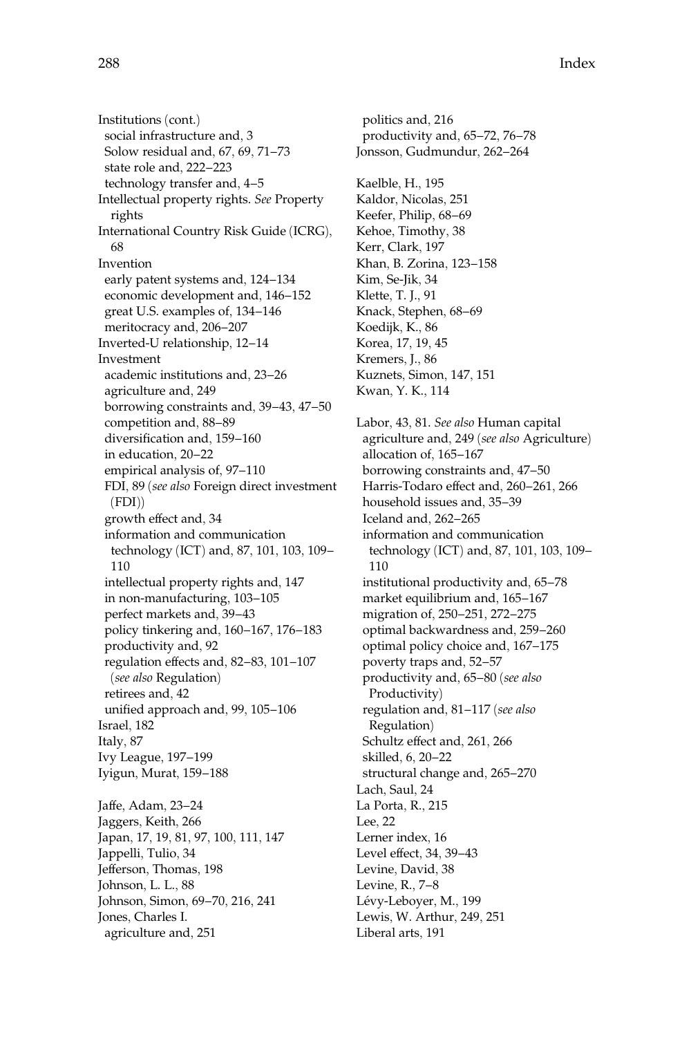Institutions (cont.) social infrastructure and, 3 Solow residual and, 67, 69, 71–73 state role and, 222–223 technology transfer and, 4–5 Intellectual property rights. See Property rights International Country Risk Guide (ICRG), 68 Invention early patent systems and, 124–134 economic development and, 146–152 great U.S. examples of, 134–146 meritocracy and, 206–207 Inverted-U relationship, 12–14 Investment academic institutions and, 23–26 agriculture and, 249 borrowing constraints and, 39–43, 47–50 competition and, 88–89 diversification and, 159–160 in education, 20–22 empirical analysis of, 97–110 FDI, 89 (see also Foreign direct investment  $(FDI)$ growth effect and, 34 information and communication technology (ICT) and, 87, 101, 103, 109– 110 intellectual property rights and, 147 in non-manufacturing, 103–105 perfect markets and, 39–43 policy tinkering and, 160–167, 176–183 productivity and, 92 regulation effects and, 82–83, 101–107 (see also Regulation) retirees and, 42 unified approach and, 99, 105–106 Israel, 182 Italy, 87 Ivy League, 197–199 Iyigun, Murat, 159–188 Jaffe, Adam, 23–24 Jaggers, Keith, 266

Japan, 17, 19, 81, 97, 100, 111, 147 Jappelli, Tulio, 34 Jefferson, Thomas, 198 Johnson, L. L., 88 Johnson, Simon, 69–70, 216, 241 Jones, Charles I. agriculture and, 251

politics and, 216 productivity and, 65–72, 76–78 Jonsson, Gudmundur, 262–264 Kaelble, H., 195 Kaldor, Nicolas, 251 Keefer, Philip, 68–69 Kehoe, Timothy, 38 Kerr, Clark, 197 Khan, B. Zorina, 123–158 Kim, Se-Jik, 34 Klette, T. J., 91 Knack, Stephen, 68–69 Koedijk, K., 86 Korea, 17, 19, 45 Kremers, J., 86 Kuznets, Simon, 147, 151 Kwan, Y. K., 114 Labor, 43, 81. See also Human capital agriculture and, 249 (see also Agriculture) allocation of, 165–167 borrowing constraints and, 47–50 Harris-Todaro effect and, 260–261, 266 household issues and, 35–39 Iceland and, 262–265 information and communication technology (ICT) and, 87, 101, 103, 109– 110 institutional productivity and, 65–78 market equilibrium and, 165–167 migration of, 250–251, 272–275 optimal backwardness and, 259–260 optimal policy choice and, 167–175 poverty traps and, 52–57 productivity and, 65–80 (see also Productivity) regulation and, 81–117 (see also Regulation) Schultz effect and, 261, 266 skilled, 6, 20–22 structural change and, 265–270 Lach, Saul, 24 La Porta, R., 215 Lee, 22 Lerner index, 16 Level effect, 34, 39–43 Levine, David, 38 Levine, R., 7–8 Lévy-Leboyer, M., 199 Lewis, W. Arthur, 249, 251 Liberal arts, 191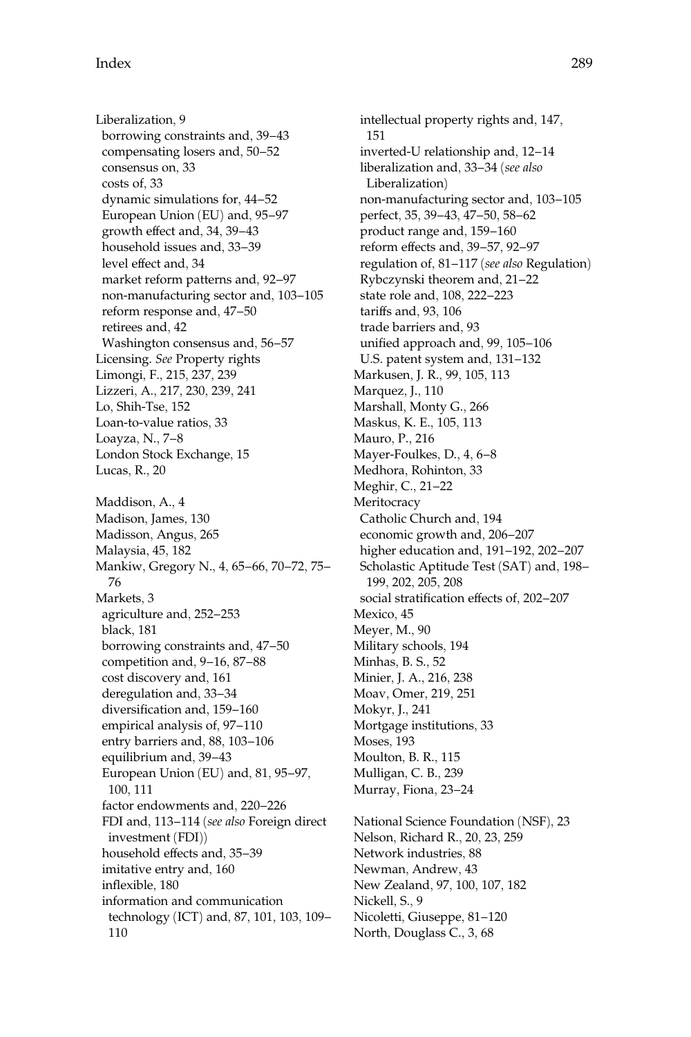Liberalization, 9 borrowing constraints and, 39–43 compensating losers and, 50–52 consensus on, 33 costs of, 33 dynamic simulations for, 44–52 European Union (EU) and, 95–97 growth effect and, 34, 39–43 household issues and, 33–39 level effect and, 34 market reform patterns and, 92–97 non-manufacturing sector and, 103–105 reform response and, 47–50 retirees and, 42 Washington consensus and, 56–57 Licensing. See Property rights Limongi, F., 215, 237, 239 Lizzeri, A., 217, 230, 239, 241 Lo, Shih-Tse, 152 Loan-to-value ratios, 33 Loayza, N., 7–8 London Stock Exchange, 15 Lucas, R., 20 Maddison, A., 4 Madison, James, 130 Madisson, Angus, 265 Malaysia, 45, 182 Mankiw, Gregory N., 4, 65–66, 70–72, 75– 76 Markets, 3 agriculture and, 252–253 black, 181 borrowing constraints and, 47–50 competition and, 9–16, 87–88 cost discovery and, 161 deregulation and, 33–34 diversification and, 159–160 empirical analysis of, 97–110 entry barriers and, 88, 103–106 equilibrium and, 39–43 European Union (EU) and, 81, 95–97, 100, 111 factor endowments and, 220–226 FDI and, 113–114 (see also Foreign direct investment (FDI)) household effects and, 35–39 imitative entry and, 160 inflexible, 180 information and communication technology (ICT) and, 87, 101, 103, 109– 110

intellectual property rights and, 147, 151 inverted-U relationship and, 12–14 liberalization and, 33–34 (see also Liberalization) non-manufacturing sector and, 103–105 perfect, 35, 39–43, 47–50, 58–62 product range and, 159–160 reform effects and, 39–57, 92–97 regulation of, 81–117 (see also Regulation) Rybczynski theorem and, 21–22 state role and, 108, 222–223 tariffs and, 93, 106 trade barriers and, 93 unified approach and, 99, 105–106 U.S. patent system and, 131–132 Markusen, J. R., 99, 105, 113 Marquez, J., 110 Marshall, Monty G., 266 Maskus, K. E., 105, 113 Mauro, P., 216 Mayer-Foulkes, D., 4, 6–8 Medhora, Rohinton, 33 Meghir, C., 21–22 **Meritocracy** Catholic Church and, 194 economic growth and, 206–207 higher education and, 191–192, 202–207 Scholastic Aptitude Test (SAT) and, 198– 199, 202, 205, 208 social stratification effects of, 202–207 Mexico, 45 Meyer, M., 90 Military schools, 194 Minhas, B. S., 52 Minier, J. A., 216, 238 Moav, Omer, 219, 251 Mokyr, J., 241 Mortgage institutions, 33 Moses, 193 Moulton, B. R., 115 Mulligan, C. B., 239 Murray, Fiona, 23–24 National Science Foundation (NSF), 23 Nelson, Richard R., 20, 23, 259 Network industries, 88 Newman, Andrew, 43 New Zealand, 97, 100, 107, 182 Nickell, S., 9 Nicoletti, Giuseppe, 81–120

North, Douglass C., 3, 68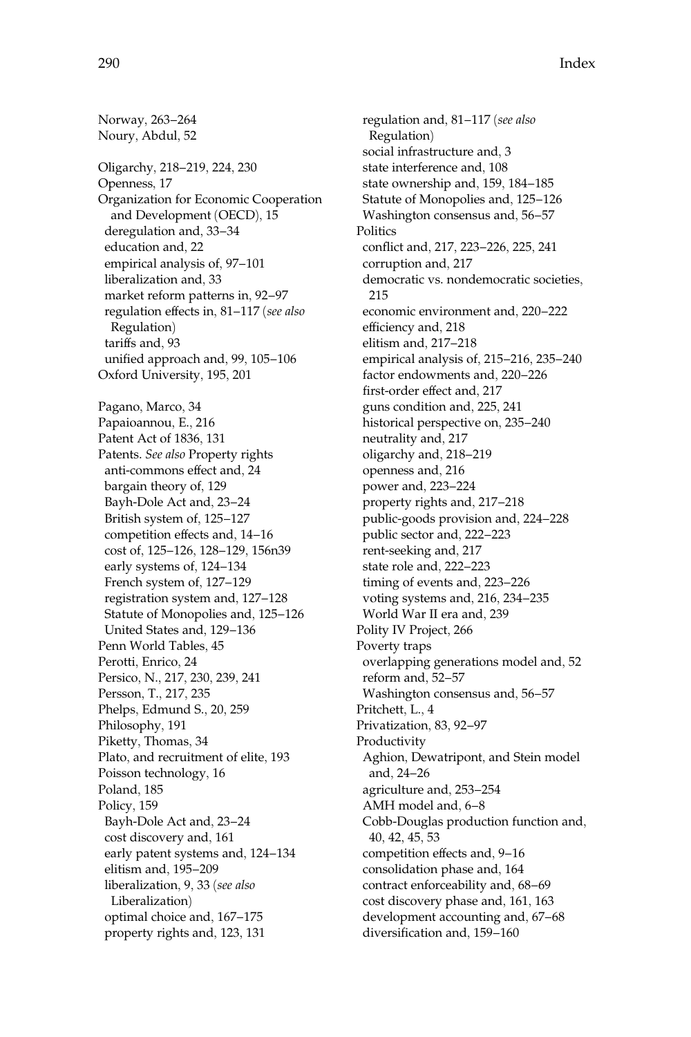Norway, 263–264 Noury, Abdul, 52 Oligarchy, 218–219, 224, 230 Openness, 17 Organization for Economic Cooperation and Development (OECD), 15 deregulation and, 33–34 education and, 22 empirical analysis of, 97–101 liberalization and, 33 market reform patterns in, 92–97 regulation effects in, 81–117 (see also Regulation) tariffs and, 93 unified approach and, 99, 105–106 Oxford University, 195, 201 Pagano, Marco, 34 Papaioannou, E., 216 Patent Act of 1836, 131 Patents. See also Property rights anti-commons effect and, 24 bargain theory of, 129 Bayh-Dole Act and, 23–24 British system of, 125–127 competition effects and, 14–16 cost of, 125–126, 128–129, 156n39 early systems of, 124–134 French system of, 127–129 registration system and, 127–128 Statute of Monopolies and, 125–126 United States and, 129–136 Penn World Tables, 45 Perotti, Enrico, 24 Persico, N., 217, 230, 239, 241 Persson, T., 217, 235 Phelps, Edmund S., 20, 259 Philosophy, 191 Piketty, Thomas, 34 Plato, and recruitment of elite, 193 Poisson technology, 16 Poland, 185 Policy, 159 Bayh-Dole Act and, 23–24 cost discovery and, 161 early patent systems and, 124–134 elitism and, 195–209 liberalization, 9, 33 (see also Liberalization) optimal choice and, 167–175 property rights and, 123, 131

regulation and, 81–117 (see also Regulation) social infrastructure and, 3 state interference and, 108 state ownership and, 159, 184–185 Statute of Monopolies and, 125–126 Washington consensus and, 56–57 Politics conflict and, 217, 223–226, 225, 241 corruption and, 217 democratic vs. nondemocratic societies, 215 economic environment and, 220–222 efficiency and, 218 elitism and, 217–218 empirical analysis of, 215–216, 235–240 factor endowments and, 220–226 first-order effect and, 217 guns condition and, 225, 241 historical perspective on, 235–240 neutrality and, 217 oligarchy and, 218–219 openness and, 216 power and, 223–224 property rights and, 217–218 public-goods provision and, 224–228 public sector and, 222–223 rent-seeking and, 217 state role and, 222–223 timing of events and, 223–226 voting systems and, 216, 234–235 World War II era and, 239 Polity IV Project, 266 Poverty traps overlapping generations model and, 52 reform and, 52–57 Washington consensus and, 56–57 Pritchett, L., 4 Privatization, 83, 92–97 Productivity Aghion, Dewatripont, and Stein model and, 24–26 agriculture and, 253–254 AMH model and, 6–8 Cobb-Douglas production function and, 40, 42, 45, 53 competition effects and, 9–16 consolidation phase and, 164 contract enforceability and, 68–69 cost discovery phase and, 161, 163 development accounting and, 67–68 diversification and, 159–160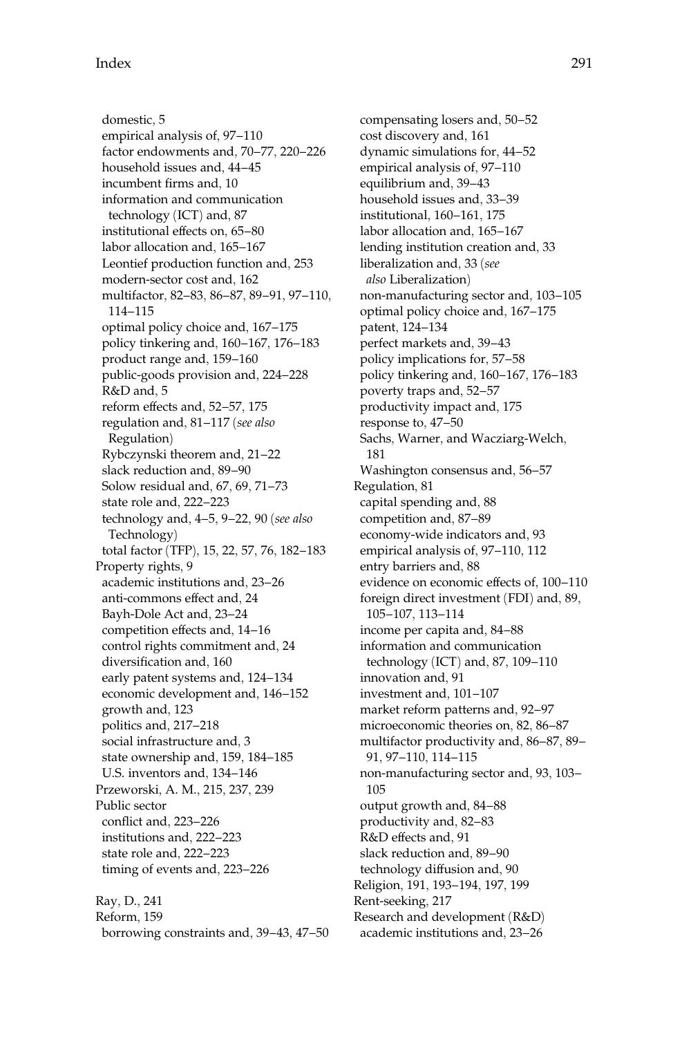domestic, 5 empirical analysis of, 97–110 factor endowments and, 70–77, 220–226 household issues and, 44–45 incumbent firms and, 10 information and communication technology (ICT) and, 87 institutional effects on, 65–80 labor allocation and, 165–167 Leontief production function and, 253 modern-sector cost and, 162 multifactor, 82–83, 86–87, 89–91, 97–110, 114–115 optimal policy choice and, 167–175 policy tinkering and, 160–167, 176–183 product range and, 159–160 public-goods provision and, 224–228 R&D and, 5 reform effects and, 52–57, 175 regulation and, 81–117 (see also Regulation) Rybczynski theorem and, 21–22 slack reduction and, 89–90 Solow residual and, 67, 69, 71–73 state role and, 222–223 technology and, 4–5, 9–22, 90 (see also Technology) total factor (TFP), 15, 22, 57, 76, 182–183 Property rights, 9 academic institutions and, 23–26 anti-commons effect and, 24 Bayh-Dole Act and, 23–24 competition effects and, 14–16 control rights commitment and, 24 diversification and, 160 early patent systems and, 124–134 economic development and, 146–152 growth and, 123 politics and, 217–218 social infrastructure and, 3 state ownership and, 159, 184–185 U.S. inventors and, 134–146 Przeworski, A. M., 215, 237, 239 Public sector conflict and, 223–226 institutions and, 222–223 state role and, 222–223 timing of events and, 223–226 Ray, D., 241

Reform, 159 borrowing constraints and, 39–43, 47–50

compensating losers and, 50–52 cost discovery and, 161 dynamic simulations for, 44–52 empirical analysis of, 97–110 equilibrium and, 39–43 household issues and, 33–39 institutional, 160–161, 175 labor allocation and, 165–167 lending institution creation and, 33 liberalization and, 33 (see also Liberalization) non-manufacturing sector and, 103–105 optimal policy choice and, 167–175 patent, 124–134 perfect markets and, 39–43 policy implications for, 57–58 policy tinkering and, 160–167, 176–183 poverty traps and, 52–57 productivity impact and, 175 response to, 47–50 Sachs, Warner, and Wacziarg-Welch, 181 Washington consensus and, 56–57 Regulation, 81 capital spending and, 88 competition and, 87–89 economy-wide indicators and, 93 empirical analysis of, 97–110, 112 entry barriers and, 88 evidence on economic effects of, 100–110 foreign direct investment (FDI) and, 89, 105–107, 113–114 income per capita and, 84–88 information and communication technology (ICT) and, 87, 109–110 innovation and, 91 investment and, 101–107 market reform patterns and, 92–97 microeconomic theories on, 82, 86–87 multifactor productivity and, 86–87, 89– 91, 97–110, 114–115 non-manufacturing sector and, 93, 103– 105 output growth and, 84–88 productivity and, 82–83 R&D effects and, 91 slack reduction and, 89–90 technology diffusion and, 90 Religion, 191, 193–194, 197, 199 Rent-seeking, 217 Research and development (R&D) academic institutions and, 23–26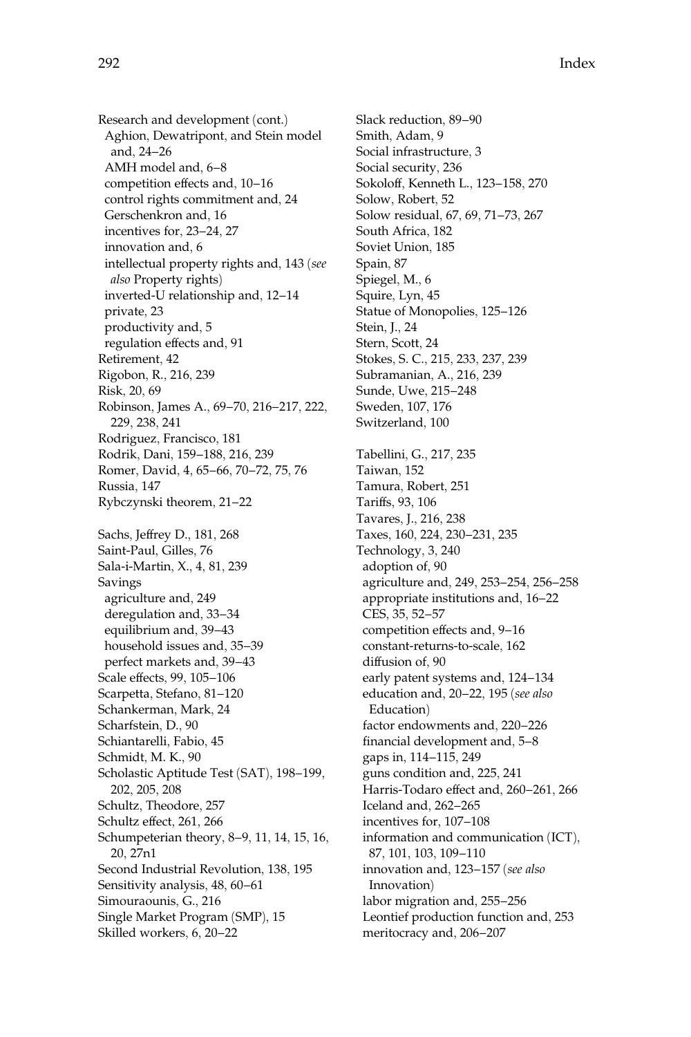Research and development (cont.) Aghion, Dewatripont, and Stein model and, 24–26 AMH model and, 6–8 competition effects and, 10–16 control rights commitment and, 24 Gerschenkron and, 16 incentives for, 23–24, 27 innovation and, 6 intellectual property rights and, 143 (see also Property rights) inverted-U relationship and, 12–14 private, 23 productivity and, 5 regulation effects and, 91 Retirement, 42 Rigobon, R., 216, 239 Risk, 20, 69 Robinson, James A., 69–70, 216–217, 222, 229, 238, 241 Rodriguez, Francisco, 181 Rodrik, Dani, 159–188, 216, 239 Romer, David, 4, 65–66, 70–72, 75, 76 Russia, 147 Rybczynski theorem, 21–22 Sachs, Jeffrey D., 181, 268 Saint-Paul, Gilles, 76 Sala-i-Martin, X., 4, 81, 239 Savings agriculture and, 249 deregulation and, 33–34 equilibrium and, 39–43 household issues and, 35–39 perfect markets and, 39–43 Scale effects, 99, 105–106 Scarpetta, Stefano, 81–120 Schankerman, Mark, 24 Scharfstein, D., 90 Schiantarelli, Fabio, 45 Schmidt, M. K., 90 Scholastic Aptitude Test (SAT), 198–199, 202, 205, 208 Schultz, Theodore, 257 Schultz effect, 261, 266 Schumpeterian theory, 8–9, 11, 14, 15, 16,

20, 27n1 Second Industrial Revolution, 138, 195 Sensitivity analysis, 48, 60–61 Simouraounis, G., 216

Single Market Program (SMP), 15

Skilled workers, 6, 20–22

Slack reduction, 89–90 Smith, Adam, 9 Social infrastructure, 3 Social security, 236 Sokoloff, Kenneth L., 123–158, 270 Solow, Robert, 52 Solow residual, 67, 69, 71–73, 267 South Africa, 182 Soviet Union, 185 Spain, 87 Spiegel, M., 6 Squire, Lyn, 45 Statue of Monopolies, 125–126 Stein, J., 24 Stern, Scott, 24 Stokes, S. C., 215, 233, 237, 239 Subramanian, A., 216, 239 Sunde, Uwe, 215–248 Sweden, 107, 176 Switzerland, 100 Tabellini, G., 217, 235 Taiwan, 152 Tamura, Robert, 251 Tariffs, 93, 106 Tavares, J., 216, 238 Taxes, 160, 224, 230–231, 235 Technology, 3, 240 adoption of, 90 agriculture and, 249, 253–254, 256–258 appropriate institutions and, 16–22 CES, 35, 52–57 competition effects and, 9–16 constant-returns-to-scale, 162 diffusion of, 90 early patent systems and, 124–134 education and, 20–22, 195 (see also Education) factor endowments and, 220–226 financial development and, 5–8 gaps in, 114–115, 249 guns condition and, 225, 241 Harris-Todaro effect and, 260–261, 266 Iceland and, 262–265 incentives for, 107–108 information and communication (ICT), 87, 101, 103, 109–110 innovation and, 123–157 (see also Innovation) labor migration and, 255–256 Leontief production function and, 253 meritocracy and, 206–207